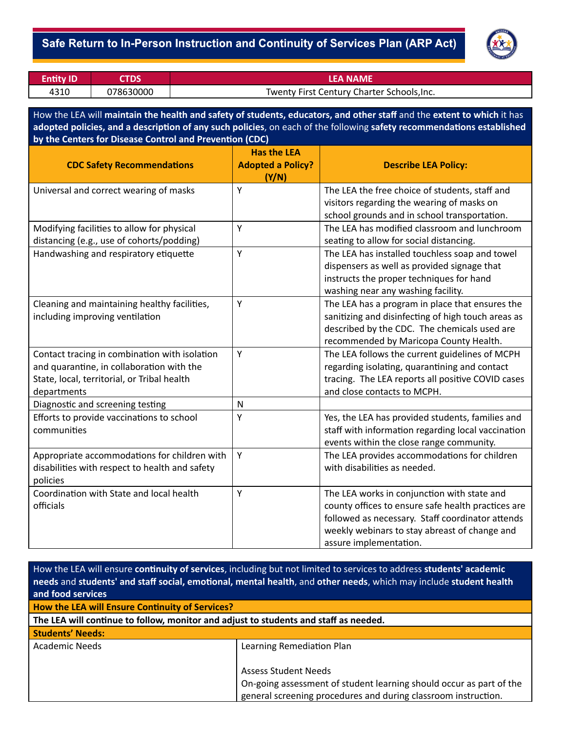

| <b>Entity ID</b> |           | LEA NAME                                   |
|------------------|-----------|--------------------------------------------|
| 4310             | 078630000 | Twenty First Century Charter Schools, Inc. |

How the LEA will **maintain the health and safety of students, educators, and other staff** and the **extent to which** it has adopted policies, and a description of any such policies, on each of the following safety recommendations established **by the Centers for Disease Control and Prevenon (CDC)**

| <b>CDC Safety Recommendations</b>                                                                                                                        | <b>Has the LEA</b><br><b>Adopted a Policy?</b><br>(Y/N) | <b>Describe LEA Policy:</b>                                                                                                                                                                                                      |
|----------------------------------------------------------------------------------------------------------------------------------------------------------|---------------------------------------------------------|----------------------------------------------------------------------------------------------------------------------------------------------------------------------------------------------------------------------------------|
| Universal and correct wearing of masks                                                                                                                   | Y                                                       | The LEA the free choice of students, staff and<br>visitors regarding the wearing of masks on<br>school grounds and in school transportation.                                                                                     |
| Modifying facilities to allow for physical<br>distancing (e.g., use of cohorts/podding)                                                                  | Y                                                       | The LEA has modified classroom and lunchroom<br>seating to allow for social distancing.                                                                                                                                          |
| Handwashing and respiratory etiquette                                                                                                                    | Y                                                       | The LEA has installed touchless soap and towel<br>dispensers as well as provided signage that<br>instructs the proper techniques for hand<br>washing near any washing facility.                                                  |
| Cleaning and maintaining healthy facilities,<br>including improving ventilation                                                                          | Y                                                       | The LEA has a program in place that ensures the<br>sanitizing and disinfecting of high touch areas as<br>described by the CDC. The chemicals used are<br>recommended by Maricopa County Health.                                  |
| Contact tracing in combination with isolation<br>and quarantine, in collaboration with the<br>State, local, territorial, or Tribal health<br>departments | Y                                                       | The LEA follows the current guidelines of MCPH<br>regarding isolating, quarantining and contact<br>tracing. The LEA reports all positive COVID cases<br>and close contacts to MCPH.                                              |
| Diagnostic and screening testing                                                                                                                         | ${\sf N}$                                               |                                                                                                                                                                                                                                  |
| Efforts to provide vaccinations to school<br>communities                                                                                                 | Υ                                                       | Yes, the LEA has provided students, families and<br>staff with information regarding local vaccination<br>events within the close range community.                                                                               |
| Appropriate accommodations for children with<br>disabilities with respect to health and safety<br>policies                                               | Υ                                                       | The LEA provides accommodations for children<br>with disabilities as needed.                                                                                                                                                     |
| Coordination with State and local health<br>officials                                                                                                    | Υ                                                       | The LEA works in conjunction with state and<br>county offices to ensure safe health practices are<br>followed as necessary. Staff coordinator attends<br>weekly webinars to stay abreast of change and<br>assure implementation. |

| How the LEA will ensure continuity of services, including but not limited to services to address students' academic<br>needs and students' and staff social, emotional, mental health, and other needs, which may include student health |                                                                     |  |  |  |
|------------------------------------------------------------------------------------------------------------------------------------------------------------------------------------------------------------------------------------------|---------------------------------------------------------------------|--|--|--|
| and food services                                                                                                                                                                                                                        |                                                                     |  |  |  |
| How the LEA will Ensure Continuity of Services?                                                                                                                                                                                          |                                                                     |  |  |  |
| The LEA will continue to follow, monitor and adjust to students and staff as needed.                                                                                                                                                     |                                                                     |  |  |  |
| <b>Students' Needs:</b>                                                                                                                                                                                                                  |                                                                     |  |  |  |
| Academic Needs                                                                                                                                                                                                                           | Learning Remediation Plan                                           |  |  |  |
|                                                                                                                                                                                                                                          |                                                                     |  |  |  |
|                                                                                                                                                                                                                                          | <b>Assess Student Needs</b>                                         |  |  |  |
|                                                                                                                                                                                                                                          | On-going assessment of student learning should occur as part of the |  |  |  |
|                                                                                                                                                                                                                                          | general screening procedures and during classroom instruction.      |  |  |  |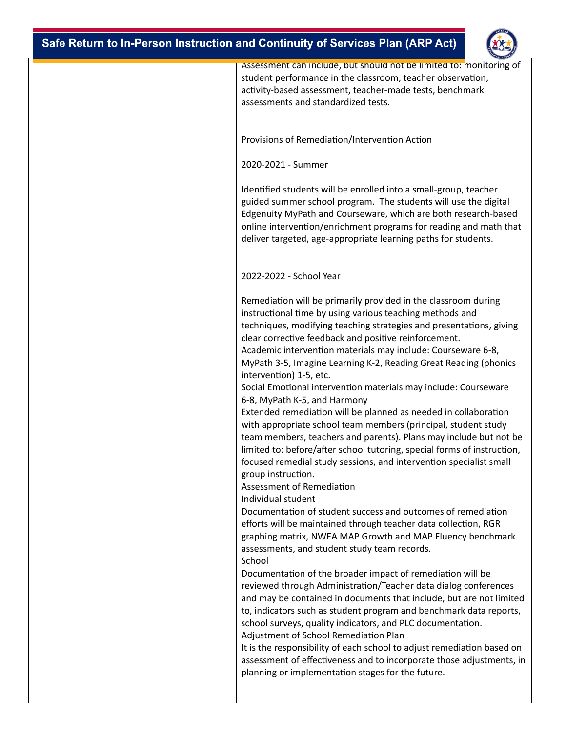

| Assessment can include, but should not be limited to: monitoring of<br>student performance in the classroom, teacher observation,<br>activity-based assessment, teacher-made tests, benchmark<br>assessments and standardized tests.                                                                                                                                                                                                                                                                                                                                                                                                                                                                                                                                                                                                                                                                                                                                                                                                                                                                                                                              |
|-------------------------------------------------------------------------------------------------------------------------------------------------------------------------------------------------------------------------------------------------------------------------------------------------------------------------------------------------------------------------------------------------------------------------------------------------------------------------------------------------------------------------------------------------------------------------------------------------------------------------------------------------------------------------------------------------------------------------------------------------------------------------------------------------------------------------------------------------------------------------------------------------------------------------------------------------------------------------------------------------------------------------------------------------------------------------------------------------------------------------------------------------------------------|
| Provisions of Remediation/Intervention Action                                                                                                                                                                                                                                                                                                                                                                                                                                                                                                                                                                                                                                                                                                                                                                                                                                                                                                                                                                                                                                                                                                                     |
| 2020-2021 - Summer                                                                                                                                                                                                                                                                                                                                                                                                                                                                                                                                                                                                                                                                                                                                                                                                                                                                                                                                                                                                                                                                                                                                                |
| Identified students will be enrolled into a small-group, teacher<br>guided summer school program. The students will use the digital<br>Edgenuity MyPath and Courseware, which are both research-based<br>online intervention/enrichment programs for reading and math that<br>deliver targeted, age-appropriate learning paths for students.                                                                                                                                                                                                                                                                                                                                                                                                                                                                                                                                                                                                                                                                                                                                                                                                                      |
| 2022-2022 - School Year                                                                                                                                                                                                                                                                                                                                                                                                                                                                                                                                                                                                                                                                                                                                                                                                                                                                                                                                                                                                                                                                                                                                           |
| Remediation will be primarily provided in the classroom during<br>instructional time by using various teaching methods and<br>techniques, modifying teaching strategies and presentations, giving<br>clear corrective feedback and positive reinforcement.<br>Academic intervention materials may include: Courseware 6-8,<br>MyPath 3-5, Imagine Learning K-2, Reading Great Reading (phonics<br>intervention) 1-5, etc.<br>Social Emotional intervention materials may include: Courseware<br>6-8, MyPath K-5, and Harmony<br>Extended remediation will be planned as needed in collaboration<br>with appropriate school team members (principal, student study<br>team members, teachers and parents). Plans may include but not be<br>limited to: before/after school tutoring, special forms of instruction,<br>focused remedial study sessions, and intervention specialist small<br>group instruction.<br>Assessment of Remediation<br>Individual student<br>Documentation of student success and outcomes of remediation<br>efforts will be maintained through teacher data collection, RGR<br>graphing matrix, NWEA MAP Growth and MAP Fluency benchmark |
| assessments, and student study team records.<br>School<br>Documentation of the broader impact of remediation will be<br>reviewed through Administration/Teacher data dialog conferences                                                                                                                                                                                                                                                                                                                                                                                                                                                                                                                                                                                                                                                                                                                                                                                                                                                                                                                                                                           |
| and may be contained in documents that include, but are not limited<br>to, indicators such as student program and benchmark data reports,<br>school surveys, quality indicators, and PLC documentation.<br>Adjustment of School Remediation Plan                                                                                                                                                                                                                                                                                                                                                                                                                                                                                                                                                                                                                                                                                                                                                                                                                                                                                                                  |
| It is the responsibility of each school to adjust remediation based on<br>assessment of effectiveness and to incorporate those adjustments, in<br>planning or implementation stages for the future.                                                                                                                                                                                                                                                                                                                                                                                                                                                                                                                                                                                                                                                                                                                                                                                                                                                                                                                                                               |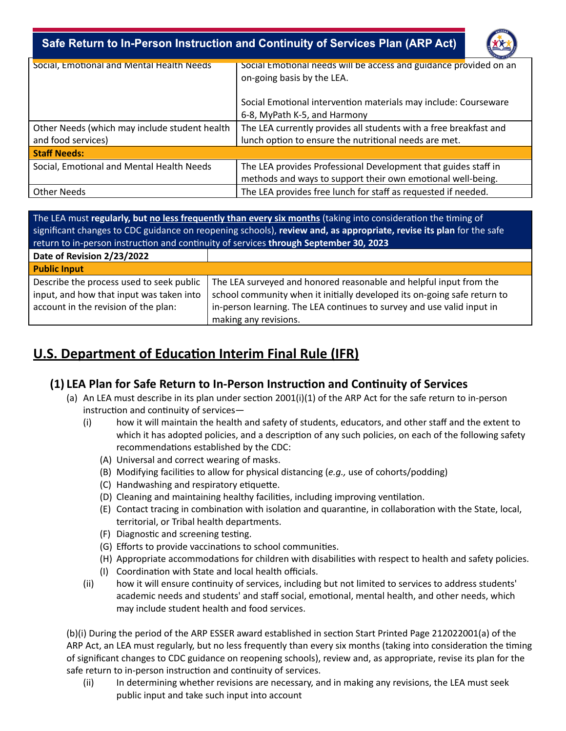

| Social, Emotional and Mental Health Needs     | Social Emotional needs will be access and guidance provided on an |
|-----------------------------------------------|-------------------------------------------------------------------|
|                                               | on-going basis by the LEA.                                        |
|                                               |                                                                   |
|                                               | Social Emotional intervention materials may include: Courseware   |
|                                               | 6-8, MyPath K-5, and Harmony                                      |
| Other Needs (which may include student health | The LEA currently provides all students with a free breakfast and |
| and food services)                            | lunch option to ensure the nutritional needs are met.             |
| <b>Staff Needs:</b>                           |                                                                   |
| Social, Emotional and Mental Health Needs     | The LEA provides Professional Development that guides staff in    |
|                                               | methods and ways to support their own emotional well-being.       |
| <b>Other Needs</b>                            | The LEA provides free lunch for staff as requested if needed.     |
|                                               |                                                                   |

The LEA must *regularly, but no less frequently than every six months (taking into consideration the timing of* significant changes to CDC guidance on reopening schools), **review and, as appropriate, revise its plan** for the safe return to in-person instruction and continuity of services **through September 30, 2023** 

| Date of Revision 2/23/2022               |                                                                          |
|------------------------------------------|--------------------------------------------------------------------------|
| <b>Public Input</b>                      |                                                                          |
| Describe the process used to seek public | The LEA surveyed and honored reasonable and helpful input from the       |
| input, and how that input was taken into | school community when it initially developed its on-going safe return to |
| account in the revision of the plan:     | in-person learning. The LEA continues to survey and use valid input in   |
|                                          | making any revisions.                                                    |

## **U.S. Department of Education Interim Final Rule (IFR)**

### **(1) LEA Plan for Safe Return to In-Person Instrucon and Connuity of Services**

- (a) An LEA must describe in its plan under section 2001(i)(1) of the ARP Act for the safe return to in-person instruction and continuity of services-
	- (i) how it will maintain the health and safety of students, educators, and other staff and the extent to which it has adopted policies, and a description of any such policies, on each of the following safety recommendations established by the CDC:
		- (A) Universal and correct wearing of masks.
		- (B) Modifying facilies to allow for physical distancing (*e.g.,* use of cohorts/podding)
		- (C) Handwashing and respiratory etiquette.
		- (D) Cleaning and maintaining healthy facilities, including improving ventilation.
		- (E) Contact tracing in combination with isolation and quarantine, in collaboration with the State, local, territorial, or Tribal health departments.
		- (F) Diagnostic and screening testing.
		- (G) Efforts to provide vaccinations to school communities.
		- (H) Appropriate accommodations for children with disabilities with respect to health and safety policies.
		- (I) Coordination with State and local health officials.
	- (ii) how it will ensure continuity of services, including but not limited to services to address students' academic needs and students' and staff social, emotional, mental health, and other needs, which may include student health and food services.

(b)(i) During the period of the ARP ESSER award established in section Start Printed Page 212022001(a) of the ARP Act, an LEA must regularly, but no less frequently than every six months (taking into consideration the timing of significant changes to CDC guidance on reopening schools), review and, as appropriate, revise its plan for the safe return to in-person instruction and continuity of services.

(ii) In determining whether revisions are necessary, and in making any revisions, the LEA must seek public input and take such input into account